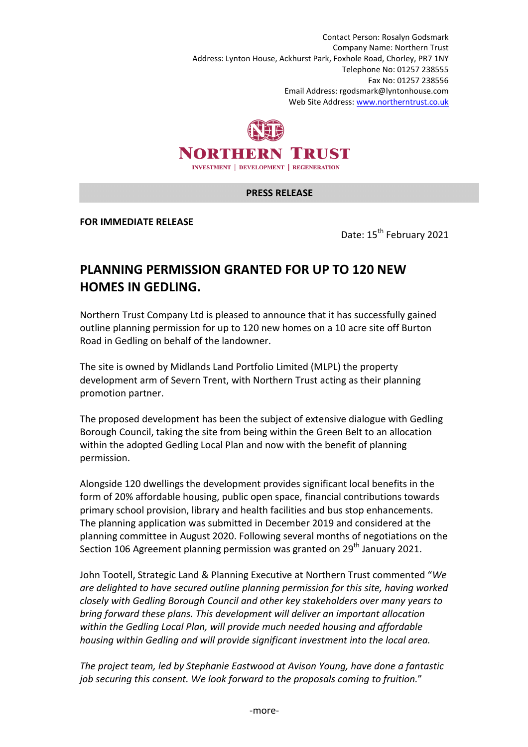Contact Person: Rosalyn Godsmark Company Name: Northern Trust Address: Lynton House, Ackhurst Park, Foxhole Road, Chorley, PR7 1NY Telephone No: 01257 238555 Fax No: 01257 238556 Email Address: rgodsmark@lyntonhouse.com Web Site Address: www.northerntrust.co.uk



## **PRESS RELEASE**

**FOR IMMEDIATE RELEASE** 

Date: 15<sup>th</sup> February 2021

## **PLANNING PERMISSION GRANTED FOR UP TO 120 NEW HOMES IN GEDLING.**

Northern Trust Company Ltd is pleased to announce that it has successfully gained outline planning permission for up to 120 new homes on a 10 acre site off Burton Road in Gedling on behalf of the landowner.

The site is owned by Midlands Land Portfolio Limited (MLPL) the property development arm of Severn Trent, with Northern Trust acting as their planning promotion partner.

The proposed development has been the subject of extensive dialogue with Gedling Borough Council, taking the site from being within the Green Belt to an allocation within the adopted Gedling Local Plan and now with the benefit of planning permission.

Alongside 120 dwellings the development provides significant local benefits in the form of 20% affordable housing, public open space, financial contributions towards primary school provision, library and health facilities and bus stop enhancements. The planning application was submitted in December 2019 and considered at the planning committee in August 2020. Following several months of negotiations on the Section 106 Agreement planning permission was granted on 29<sup>th</sup> January 2021.

John Tootell, Strategic Land & Planning Executive at Northern Trust commented "*We are delighted to have secured outline planning permission for this site, having worked closely with Gedling Borough Council and other key stakeholders over many years to bring forward these plans. This development will deliver an important allocation within the Gedling Local Plan, will provide much needed housing and affordable housing within Gedling and will provide significant investment into the local area.* 

*The project team, led by Stephanie Eastwood at Avison Young, have done a fantastic job securing this consent. We look forward to the proposals coming to fruition.*"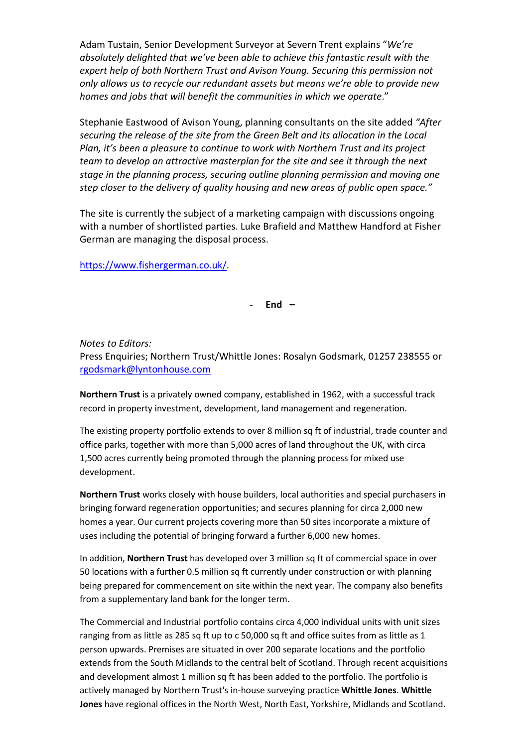Adam Tustain, Senior Development Surveyor at Severn Trent explains "*We're absolutely delighted that we've been able to achieve this fantastic result with the expert help of both Northern Trust and Avison Young. Securing this permission not only allows us to recycle our redundant assets but means we're able to provide new homes and jobs that will benefit the communities in which we operate*."

Stephanie Eastwood of Avison Young, planning consultants on the site added *"After securing the release of the site from the Green Belt and its allocation in the Local Plan, it's been a pleasure to continue to work with Northern Trust and its project team to develop an attractive masterplan for the site and see it through the next stage in the planning process, securing outline planning permission and moving one step closer to the delivery of quality housing and new areas of public open space."* 

The site is currently the subject of a marketing campaign with discussions ongoing with a number of shortlisted parties. Luke Brafield and Matthew Handford at Fisher German are managing the disposal process.

https://www.fishergerman.co.uk/.

- **End –** 

*Notes to Editors:* Press Enquiries; Northern Trust/Whittle Jones: Rosalyn Godsmark, 01257 238555 or rgodsmark@lyntonhouse.com

**Northern Trust** is a privately owned company, established in 1962, with a successful track record in property investment, development, land management and regeneration.

The existing property portfolio extends to over 8 million sq ft of industrial, trade counter and office parks, together with more than 5,000 acres of land throughout the UK, with circa 1,500 acres currently being promoted through the planning process for mixed use development.

**Northern Trust** works closely with house builders, local authorities and special purchasers in bringing forward regeneration opportunities; and secures planning for circa 2,000 new homes a year. Our current projects covering more than 50 sites incorporate a mixture of uses including the potential of bringing forward a further 6,000 new homes.

In addition, **Northern Trust** has developed over 3 million sq ft of commercial space in over 50 locations with a further 0.5 million sq ft currently under construction or with planning being prepared for commencement on site within the next year. The company also benefits from a supplementary land bank for the longer term.

The Commercial and Industrial portfolio contains circa 4,000 individual units with unit sizes ranging from as little as 285 sq ft up to c 50,000 sq ft and office suites from as little as 1 person upwards. Premises are situated in over 200 separate locations and the portfolio extends from the South Midlands to the central belt of Scotland. Through recent acquisitions and development almost 1 million sq ft has been added to the portfolio. The portfolio is actively managed by Northern Trust's in-house surveying practice **Whittle Jones**. **Whittle Jones** have regional offices in the North West, North East, Yorkshire, Midlands and Scotland.